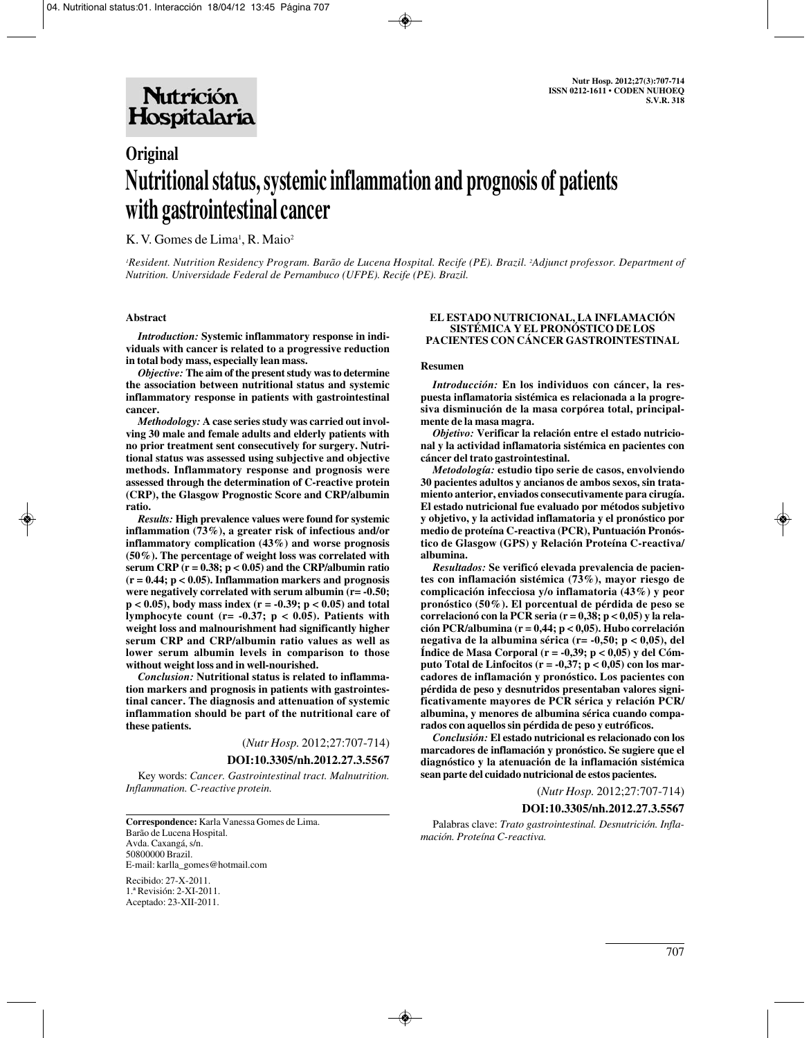# **Original Nutritional status, systemic inflammation and prognosis of patients with gastrointestinal cancer**

K. V. Gomes de Lima<sup>1</sup>, R. Maio<sup>2</sup>

*1 Resident. Nutrition Residency Program. Barão de Lucena Hospital. Recife (PE). Brazil. 2 Adjunct professor. Department of Nutrition. Universidade Federal de Pernambuco (UFPE). Recife (PE). Brazil.*

#### **Abstract**

*Introduction:* **Systemic inflammatory response in individuals with cancer is related to a progressive reduction in total body mass, especially lean mass.** 

*Objective:* **The aim of the present study was to determine the association between nutritional status and systemic inflammatory response in patients with gastrointestinal cancer.** 

*Methodology:* **A case series study was carried out involving 30 male and female adults and elderly patients with no prior treatment sent consecutively for surgery. Nutritional status was assessed using subjective and objective methods. Inflammatory response and prognosis were assessed through the determination of C-reactive protein (CRP), the Glasgow Prognostic Score and CRP/albumin ratio.** 

*Results:* **High prevalence values were found for systemic inflammation (73%), a greater risk of infectious and/or inflammatory complication (43%) and worse prognosis (50%). The percentage of weight loss was correlated with serum CRP (r = 0.38; p < 0.05) and the CRP/albumin ratio (r = 0.44; p < 0.05). Inflammation markers and prognosis were negatively correlated with serum albumin (r= -0.50; p < 0.05), body mass index (r = -0.39; p < 0.05) and total lymphocyte count (r= -0.37; p < 0.05). Patients with weight loss and malnourishment had significantly higher serum CRP and CRP/albumin ratio values as well as lower serum albumin levels in comparison to those without weight loss and in well-nourished.** 

*Conclusion:* **Nutritional status is related to inflammation markers and prognosis in patients with gastrointestinal cancer. The diagnosis and attenuation of systemic inflammation should be part of the nutritional care of these patients.**

(*Nutr Hosp.* 2012;27:707-714)

#### **DOI:10.3305/nh.2012.27.3.5567**

Key words: *Cancer. Gastrointestinal tract. Malnutrition. Inflammation. C-reactive protein.*

**Correspondence:** Karla Vanessa Gomes de Lima. Barão de Lucena Hospital. Avda. Caxangá, s/n. 50800000 Brazil. E-mail: karlla\_gomes@hotmail.com

Recibido: 27-X-2011. 1.ª Revisión: 2-XI-2011. Aceptado: 23-XII-2011.

#### **EL ESTADO NUTRICIONAL, LA INFLAMACIÓN SISTÉMICA Y EL PRONÓSTICO DE LOS PACIENTES CON CÁNCER GASTROINTESTINAL**

#### **Resumen**

*Introducción:* **En los individuos con cáncer, la respuesta inflamatoria sistémica es relacionada a la progresiva disminución de la masa corpórea total, principalmente de la masa magra.** 

*Objetivo:* **Verificar la relación entre el estado nutricional y la actividad inflamatoria sistémica en pacientes con cáncer del trato gastrointestinal.** 

*Metodología:* **estudio tipo serie de casos, envolviendo 30 pacientes adultos y ancianos de ambos sexos, sin tratamiento anterior, enviados consecutivamente para cirugía. El estado nutricional fue evaluado por métodos subjetivo y objetivo, y la actividad inflamatoria y el pronóstico por medio de proteína C-reactiva (PCR), Puntuación Pronóstico de Glasgow (GPS) y Relación Proteína C-reactiva/ albumina.** 

*Resultados:* **Se verificó elevada prevalencia de pacientes con inflamación sistémica (73%), mayor riesgo de complicación infecciosa y/o inflamatoria (43%) y peor pronóstico (50%). El porcentual de pérdida de peso se correlacionó con la PCR seria (r = 0,38; p < 0,05) y la relación PCR/albumina (r = 0,44; p < 0,05). Hubo correlación negativa de la albumina sérica (r= -0,50; p < 0,05), del Índice de Masa Corporal (r = -0,39; p < 0,05) y del Cómputo Total de Linfocitos (r = -0,37; p < 0,05) con los marcadores de inflamación y pronóstico. Los pacientes con pérdida de peso y desnutridos presentaban valores significativamente mayores de PCR sérica y relación PCR/ albumina, y menores de albumina sérica cuando comparados con aquellos sin pérdida de peso y eutróficos.** 

*Conclusión:* **El estado nutricional es relacionado con los marcadores de inflamación y pronóstico. Se sugiere que el diagnóstico y la atenuación de la inflamación sistémica sean parte del cuidado nutricional de estos pacientes.**

(*Nutr Hosp.* 2012;27:707-714)

#### **DOI:10.3305/nh.2012.27.3.5567**

Palabras clave: *Trato gastrointestinal. Desnutrición. Inflamación. Proteína C-reactiva.*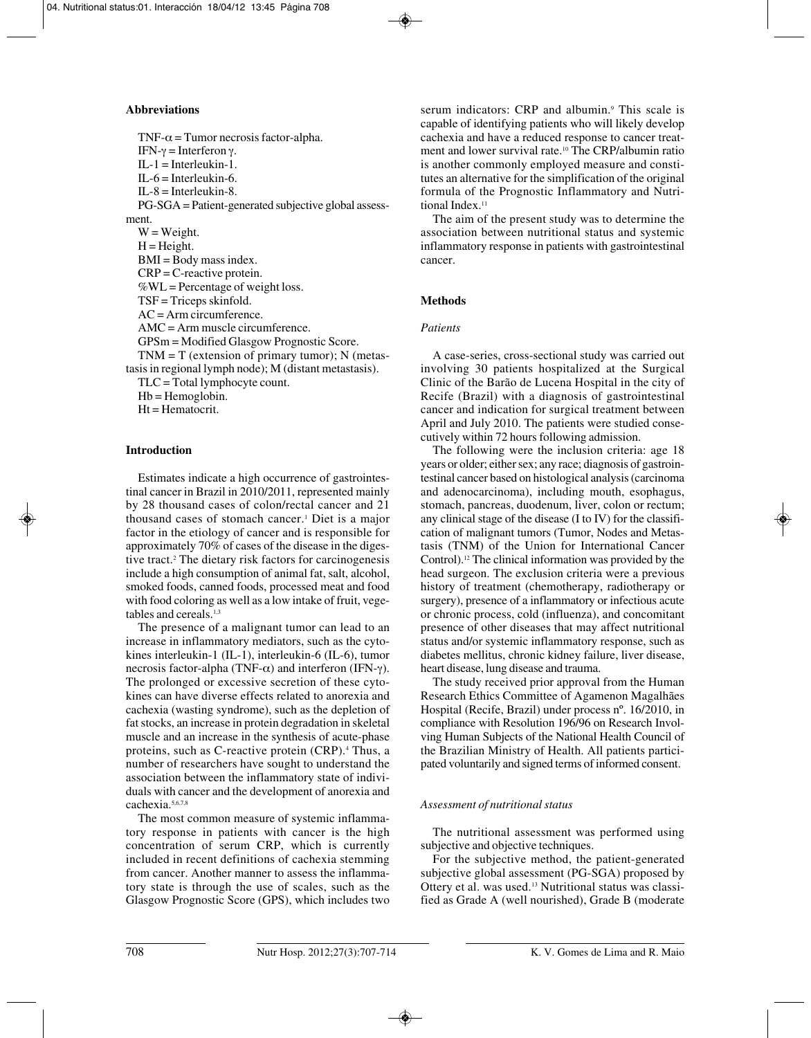### **Abbreviations**

TNF- $\alpha$  = Tumor necrosis factor-alpha. IFN-γ = Interferon γ.  $IL-1 = Interleukin-1.$  $IL-6 = Interleukin-6.$  $IL-8 = Interleukin-8.$ PG-SGA = Patient-generated subjective global assessment.  $W = Weight.$  $H = Height.$ BMI = Body mass index. CRP = C-reactive protein.  $\%$ WL = Percentage of weight loss. TSF = Triceps skinfold.  $AC = Arm$  circumference. AMC = Arm muscle circumference. GPSm = Modified Glasgow Prognostic Score.  $TNM = T$  (extension of primary tumor); N (metastasis in regional lymph node); M (distant metastasis). TLC = Total lymphocyte count.  $Hb = Hemoglobin.$ Ht = Hematocrit.

## **Introduction**

Estimates indicate a high occurrence of gastrointestinal cancer in Brazil in 2010/2011, represented mainly by 28 thousand cases of colon/rectal cancer and 21 thousand cases of stomach cancer.1 Diet is a major factor in the etiology of cancer and is responsible for approximately 70% of cases of the disease in the digestive tract.2 The dietary risk factors for carcinogenesis include a high consumption of animal fat, salt, alcohol, smoked foods, canned foods, processed meat and food with food coloring as well as a low intake of fruit, vegetables and cereals.<sup>1,3</sup>

The presence of a malignant tumor can lead to an increase in inflammatory mediators, such as the cytokines interleukin-1 (IL-1), interleukin-6 (IL-6), tumor necrosis factor-alpha (TNF-α) and interferon (IFN-γ). The prolonged or excessive secretion of these cytokines can have diverse effects related to anorexia and cachexia (wasting syndrome), such as the depletion of fat stocks, an increase in protein degradation in skeletal muscle and an increase in the synthesis of acute-phase proteins, such as C-reactive protein (CRP).4 Thus, a number of researchers have sought to understand the association between the inflammatory state of individuals with cancer and the development of anorexia and cachexia.5,6,7,8

The most common measure of systemic inflammatory response in patients with cancer is the high concentration of serum CRP, which is currently included in recent definitions of cachexia stemming from cancer. Another manner to assess the inflammatory state is through the use of scales, such as the Glasgow Prognostic Score (GPS), which includes two

serum indicators: CRP and albumin.<sup>9</sup> This scale is capable of identifying patients who will likely develop cachexia and have a reduced response to cancer treatment and lower survival rate.10 The CRP/albumin ratio is another commonly employed measure and constitutes an alternative for the simplification of the original formula of the Prognostic Inflammatory and Nutritional Index.<sup>11</sup>

The aim of the present study was to determine the association between nutritional status and systemic inflammatory response in patients with gastrointestinal cancer.

### **Methods**

### *Patients*

A case-series, cross-sectional study was carried out involving 30 patients hospitalized at the Surgical Clinic of the Barão de Lucena Hospital in the city of Recife (Brazil) with a diagnosis of gastrointestinal cancer and indication for surgical treatment between April and July 2010. The patients were studied consecutively within 72 hours following admission.

The following were the inclusion criteria: age 18 years or older; either sex; any race; diagnosis of gastrointestinal cancer based on histological analysis (carcinoma and adenocarcinoma), including mouth, esophagus, stomach, pancreas, duodenum, liver, colon or rectum; any clinical stage of the disease (I to IV) for the classification of malignant tumors (Tumor, Nodes and Metastasis (TNM) of the Union for International Cancer Control).12 The clinical information was provided by the head surgeon. The exclusion criteria were a previous history of treatment (chemotherapy, radiotherapy or surgery), presence of a inflammatory or infectious acute or chronic process, cold (influenza), and concomitant presence of other diseases that may affect nutritional status and/or systemic inflammatory response, such as diabetes mellitus, chronic kidney failure, liver disease, heart disease, lung disease and trauma.

The study received prior approval from the Human Research Ethics Committee of Agamenon Magalhães Hospital (Recife, Brazil) under process nº. 16/2010, in compliance with Resolution 196/96 on Research Involving Human Subjects of the National Health Council of the Brazilian Ministry of Health. All patients participated voluntarily and signed terms of informed consent.

### *Assessment of nutritional status*

The nutritional assessment was performed using subjective and objective techniques.

For the subjective method, the patient-generated subjective global assessment (PG-SGA) proposed by Ottery et al. was used.13 Nutritional status was classified as Grade A (well nourished), Grade B (moderate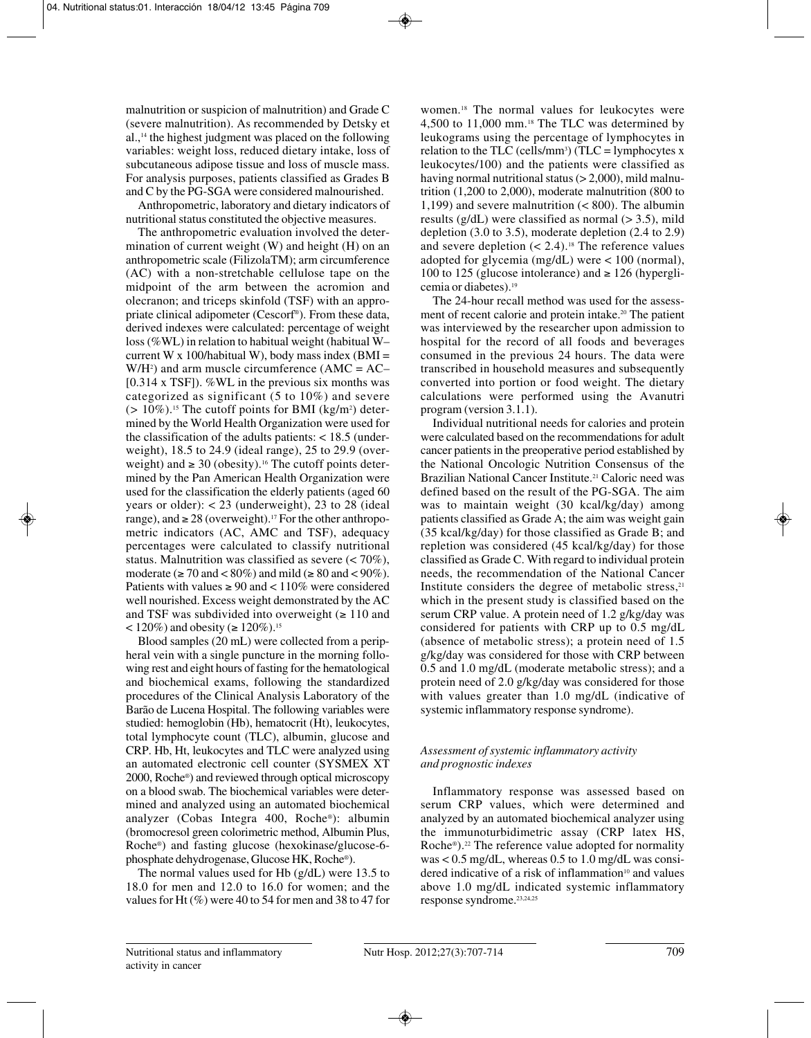malnutrition or suspicion of malnutrition) and Grade C (severe malnutrition). As recommended by Detsky et al.,14 the highest judgment was placed on the following variables: weight loss, reduced dietary intake, loss of subcutaneous adipose tissue and loss of muscle mass. For analysis purposes, patients classified as Grades B and C by the PG-SGA were considered malnourished.

Anthropometric, laboratory and dietary indicators of nutritional status constituted the objective measures.

The anthropometric evaluation involved the determination of current weight (W) and height (H) on an anthropometric scale (FilizolaTM); arm circumference (AC) with a non-stretchable cellulose tape on the midpoint of the arm between the acromion and olecranon; and triceps skinfold (TSF) with an appropriate clinical adipometer (Cescorf®). From these data, derived indexes were calculated: percentage of weight loss (%WL) in relation to habitual weight (habitual W– current W x 100/habitual W), body mass index (BMI =  $W/H<sup>2</sup>$ ) and arm muscle circumference (AMC = AC– [0.314 x TSF]). %WL in the previous six months was categorized as significant (5 to 10%) and severe  $(> 10\%)$ .<sup>15</sup> The cutoff points for BMI (kg/m<sup>2</sup>) determined by the World Health Organization were used for the classification of the adults patients: < 18.5 (underweight), 18.5 to 24.9 (ideal range), 25 to 29.9 (overweight) and  $\geq 30$  (obesity).<sup>16</sup> The cutoff points determined by the Pan American Health Organization were used for the classification the elderly patients (aged 60 years or older):  $< 23$  (underweight), 23 to 28 (ideal) range), and  $\geq 28$  (overweight).<sup>17</sup> For the other anthropometric indicators (AC, AMC and TSF), adequacy percentages were calculated to classify nutritional status. Malnutrition was classified as severe (< 70%), moderate ( $\geq 70$  and  $\lt 80\%$ ) and mild ( $\geq 80$  and  $\lt 90\%$ ). Patients with values  $\geq 90$  and  $\lt 110\%$  were considered well nourished. Excess weight demonstrated by the AC and TSF was subdivided into overweight  $(≥ 110$  and < 120%) and obesity (≥ 120%).<sup>15</sup>

Blood samples (20 mL) were collected from a peripheral vein with a single puncture in the morning following rest and eight hours of fasting for the hematological and biochemical exams, following the standardized procedures of the Clinical Analysis Laboratory of the Barão de Lucena Hospital. The following variables were studied: hemoglobin (Hb), hematocrit (Ht), leukocytes, total lymphocyte count (TLC), albumin, glucose and CRP. Hb, Ht, leukocytes and TLC were analyzed using an automated electronic cell counter (SYSMEX XT 2000, Roche®) and reviewed through optical microscopy on a blood swab. The biochemical variables were determined and analyzed using an automated biochemical analyzer (Cobas Integra 400, Roche®): albumin (bromocresol green colorimetric method, Albumin Plus, Roche®) and fasting glucose (hexokinase/glucose-6 phosphate dehydrogenase, Glucose HK, Roche®).

The normal values used for Hb (g/dL) were 13.5 to 18.0 for men and 12.0 to 16.0 for women; and the values for Ht $(\%)$  were 40 to 54 for men and 38 to 47 for women.18 The normal values for leukocytes were 4,500 to 11,000 mm.18 The TLC was determined by leukograms using the percentage of lymphocytes in relation to the TLC (cells/mm<sup>3</sup>) (TLC = lymphocytes x leukocytes/100) and the patients were classified as having normal nutritional status  $(>2,000)$ , mild malnutrition (1,200 to 2,000), moderate malnutrition (800 to 1,199) and severe malnutrition (< 800). The albumin results ( $g/dL$ ) were classified as normal ( $> 3.5$ ), mild depletion (3.0 to 3.5), moderate depletion (2.4 to 2.9) and severe depletion  $(< 2.4)$ .<sup>18</sup> The reference values adopted for glycemia (mg/dL) were < 100 (normal), 100 to 125 (glucose intolerance) and  $\geq$  126 (hyperglicemia or diabetes).19

The 24-hour recall method was used for the assessment of recent calorie and protein intake.<sup>20</sup> The patient was interviewed by the researcher upon admission to hospital for the record of all foods and beverages consumed in the previous 24 hours. The data were transcribed in household measures and subsequently converted into portion or food weight. The dietary calculations were performed using the Avanutri program (version 3.1.1).

Individual nutritional needs for calories and protein were calculated based on the recommendations for adult cancer patients in the preoperative period established by the National Oncologic Nutrition Consensus of the Brazilian National Cancer Institute.<sup>21</sup> Caloric need was defined based on the result of the PG-SGA. The aim was to maintain weight (30 kcal/kg/day) among patients classified as Grade A; the aim was weight gain (35 kcal/kg/day) for those classified as Grade B; and repletion was considered (45 kcal/kg/day) for those classified as Grade C. With regard to individual protein needs, the recommendation of the National Cancer Institute considers the degree of metabolic stress, $21$ which in the present study is classified based on the serum CRP value. A protein need of 1.2 g/kg/day was considered for patients with CRP up to 0.5 mg/dL (absence of metabolic stress); a protein need of 1.5 g/kg/day was considered for those with CRP between 0.5 and 1.0 mg/dL (moderate metabolic stress); and a protein need of 2.0 g/kg/day was considered for those with values greater than 1.0 mg/dL (indicative of systemic inflammatory response syndrome).

### *Assessment of systemic inflammatory activity and prognostic indexes*

Inflammatory response was assessed based on serum CRP values, which were determined and analyzed by an automated biochemical analyzer using the immunoturbidimetric assay (CRP latex HS, Roche®).<sup>22</sup> The reference value adopted for normality was < 0.5 mg/dL, whereas 0.5 to 1.0 mg/dL was considered indicative of a risk of inflammation<sup>10</sup> and values above 1.0 mg/dL indicated systemic inflammatory response syndrome.23,24,25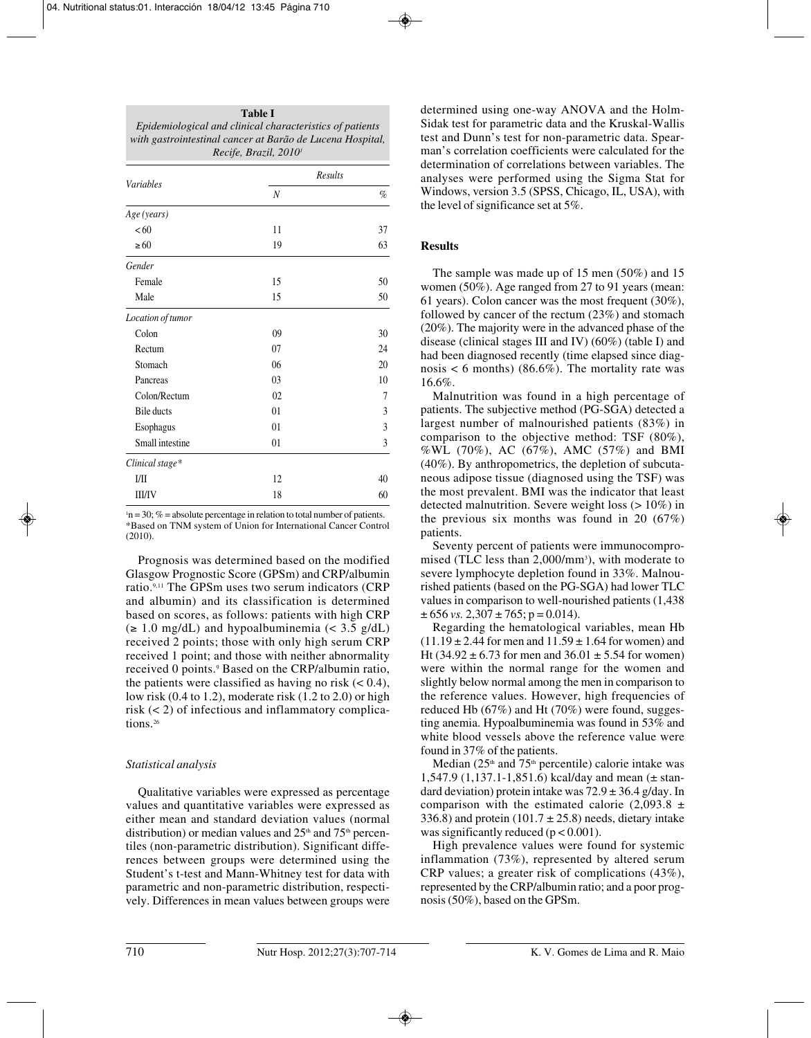| <b>Table I</b>                                            |
|-----------------------------------------------------------|
| Epidemiological and clinical characteristics of patients  |
| with gastrointestinal cancer at Barão de Lucena Hospital, |
| Recife, Brazil, 2010 <sup>i</sup>                         |

| <b>Variables</b>  |                  | Results |
|-------------------|------------------|---------|
|                   | $\boldsymbol{N}$ | $\%$    |
| Age (years)       |                  |         |
| <60               | 11               | 37      |
| $\geq 60$         | 19               | 63      |
| Gender            |                  |         |
| Female            | 15               | 50      |
| Male              | 15               | 50      |
| Location of tumor |                  |         |
| Colon             | 0 <sup>9</sup>   | 30      |
| Rectum            | 07               | 24      |
| Stomach           | 06               | 20      |
| Pancreas          | 0 <sub>3</sub>   | 10      |
| Colon/Rectum      | 02               | 7       |
| <b>Bile</b> ducts | 01               | 3       |
| Esophagus         | 01               | 3       |
| Small intestine   | 01               | 3       |
| Clinical stage*   |                  |         |
| 1/11              | 12               | 40      |
| <b>III/IV</b>     | 18               | 60      |

 $n = 30$ ; % = absolute percentage in relation to total number of patients. \*Based on TNM system of Union for International Cancer Control (2010).

Prognosis was determined based on the modified Glasgow Prognostic Score (GPSm) and CRP/albumin ratio.9,11 The GPSm uses two serum indicators (CRP and albumin) and its classification is determined based on scores, as follows: patients with high CRP (≥ 1.0 mg/dL) and hypoalbuminemia (< 3.5 g/dL) received 2 points; those with only high serum CRP received 1 point; and those with neither abnormality received 0 points.9 Based on the CRP/albumin ratio, the patients were classified as having no risk  $(< 0.4)$ , low risk (0.4 to 1.2), moderate risk (1.2 to 2.0) or high risk (< 2) of infectious and inflammatory complications.26

### *Statistical analysis*

Qualitative variables were expressed as percentage values and quantitative variables were expressed as either mean and standard deviation values (normal distribution) or median values and  $25<sup>th</sup>$  and  $75<sup>th</sup>$  percentiles (non-parametric distribution). Significant differences between groups were determined using the Student's t-test and Mann-Whitney test for data with parametric and non-parametric distribution, respectively. Differences in mean values between groups were determined using one-way ANOVA and the Holm-Sidak test for parametric data and the Kruskal-Wallis test and Dunn's test for non-parametric data. Spearman's correlation coefficients were calculated for the determination of correlations between variables. The analyses were performed using the Sigma Stat for Windows, version 3.5 (SPSS, Chicago, IL, USA), with the level of significance set at 5%.

### **Results**

The sample was made up of 15 men (50%) and 15 women (50%). Age ranged from 27 to 91 years (mean: 61 years). Colon cancer was the most frequent (30%), followed by cancer of the rectum (23%) and stomach (20%). The majority were in the advanced phase of the disease (clinical stages III and IV) (60%) (table I) and had been diagnosed recently (time elapsed since diagnosis  $< 6$  months) (86.6%). The mortality rate was 16.6%.

Malnutrition was found in a high percentage of patients. The subjective method (PG-SGA) detected a largest number of malnourished patients (83%) in comparison to the objective method: TSF (80%), %WL (70%), AC (67%), AMC (57%) and BMI (40%). By anthropometrics, the depletion of subcutaneous adipose tissue (diagnosed using the TSF) was the most prevalent. BMI was the indicator that least detected malnutrition. Severe weight loss  $(>10\%)$  in the previous six months was found in 20 (67%) patients.

Seventy percent of patients were immunocompromised (TLC less than  $2,000/\text{mm}^3$ ), with moderate to severe lymphocyte depletion found in 33%. Malnourished patients (based on the PG-SGA) had lower TLC values in comparison to well-nourished patients (1,438  $\pm 656$  *vs.* 2,307  $\pm 765$ ; p = 0.014).

Regarding the hematological variables, mean Hb  $(11.19 \pm 2.44$  for men and  $11.59 \pm 1.64$  for women) and Ht (34.92  $\pm$  6.73 for men and 36.01  $\pm$  5.54 for women) were within the normal range for the women and slightly below normal among the men in comparison to the reference values. However, high frequencies of reduced Hb (67%) and Ht (70%) were found, suggesting anemia. Hypoalbuminemia was found in 53% and white blood vessels above the reference value were found in 37% of the patients.

Median ( $25<sup>th</sup>$  and  $75<sup>th</sup>$  percentile) calorie intake was 1,547.9 (1,137.1-1,851.6) kcal/day and mean (± standard deviation) protein intake was  $72.9 \pm 36.4$  g/day. In comparison with the estimated calorie (2,093.8  $\pm$ 336.8) and protein (101.7  $\pm$  25.8) needs, dietary intake was significantly reduced ( $p < 0.001$ ).

High prevalence values were found for systemic inflammation (73%), represented by altered serum CRP values; a greater risk of complications (43%), represented by the CRP/albumin ratio; and a poor prognosis (50%), based on the GPSm.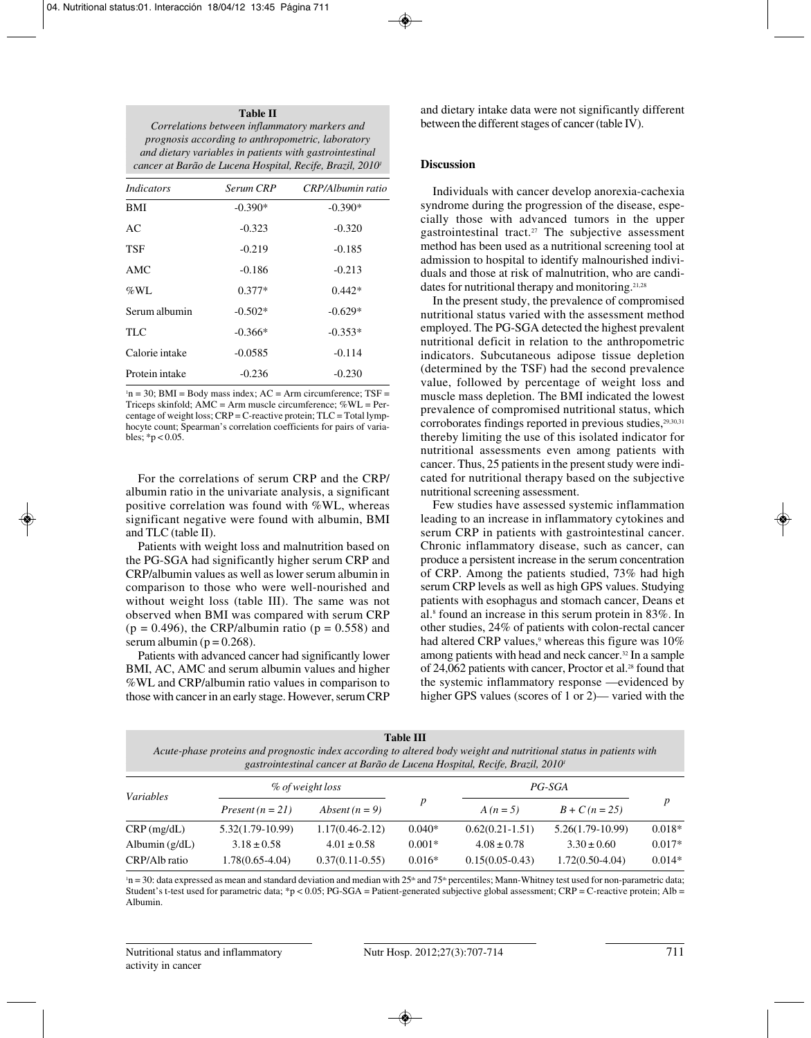#### **Table II**

| Correlations between inflammatory markers and                         |
|-----------------------------------------------------------------------|
| prognosis according to anthropometric, laboratory                     |
| and dietary variables in patients with gastrointestinal               |
| cancer at Barão de Lucena Hospital, Recife, Brazil, 2010 <sup>i</sup> |
|                                                                       |

| <i>Indicators</i> | Serum CRP | CRP/Albumin ratio |
|-------------------|-----------|-------------------|
| <b>BMI</b>        | $-0.390*$ | $-0.390*$         |
| AC                | $-0.323$  | $-0.320$          |
| <b>TSF</b>        | $-0.219$  | $-0.185$          |
| AMC               | $-0.186$  | $-0.213$          |
| $\%$ WL           | $0.377*$  | $0.442*$          |
| Serum albumin     | $-0.502*$ | $-0.629*$         |
| <b>TLC</b>        | $-0.366*$ | $-0.353*$         |
| Calorie intake    | $-0.0585$ | $-0.114$          |
| Protein intake    | $-0.236$  | $-0.230$          |

 $n = 30$ ; BMI = Body mass index; AC = Arm circumference; TSF = Triceps skinfold; AMC = Arm muscle circumference; %WL = Percentage of weight loss; CRP = C-reactive protein; TLC = Total lymphocyte count; Spearman's correlation coefficients for pairs of variables;  $*p < 0.05$ .

For the correlations of serum CRP and the CRP/ albumin ratio in the univariate analysis, a significant positive correlation was found with %WL, whereas significant negative were found with albumin, BMI and TLC (table II).

Patients with weight loss and malnutrition based on the PG-SGA had significantly higher serum CRP and CRP/albumin values as well as lower serum albumin in comparison to those who were well-nourished and without weight loss (table III). The same was not observed when BMI was compared with serum CRP  $(p = 0.496)$ , the CRP/albumin ratio  $(p = 0.558)$  and serum albumin ( $p = 0.268$ ).

Patients with advanced cancer had significantly lower BMI, AC, AMC and serum albumin values and higher %WL and CRP/albumin ratio values in comparison to those with cancer in an early stage. However, serum CRP and dietary intake data were not significantly different between the different stages of cancer (table IV).

#### **Discussion**

Individuals with cancer develop anorexia-cachexia syndrome during the progression of the disease, especially those with advanced tumors in the upper gastrointestinal tract.27 The subjective assessment method has been used as a nutritional screening tool at admission to hospital to identify malnourished individuals and those at risk of malnutrition, who are candidates for nutritional therapy and monitoring.<sup>21,28</sup>

In the present study, the prevalence of compromised nutritional status varied with the assessment method employed. The PG-SGA detected the highest prevalent nutritional deficit in relation to the anthropometric indicators. Subcutaneous adipose tissue depletion (determined by the TSF) had the second prevalence value, followed by percentage of weight loss and muscle mass depletion. The BMI indicated the lowest prevalence of compromised nutritional status, which corroborates findings reported in previous studies,<sup>29,30,31</sup> thereby limiting the use of this isolated indicator for nutritional assessments even among patients with cancer. Thus, 25 patients in the present study were indicated for nutritional therapy based on the subjective nutritional screening assessment.

Few studies have assessed systemic inflammation leading to an increase in inflammatory cytokines and serum CRP in patients with gastrointestinal cancer. Chronic inflammatory disease, such as cancer, can produce a persistent increase in the serum concentration of CRP. Among the patients studied, 73% had high serum CRP levels as well as high GPS values. Studying patients with esophagus and stomach cancer, Deans et al.8 found an increase in this serum protein in 83%. In other studies, 24% of patients with colon-rectal cancer had altered CRP values,<sup>9</sup> whereas this figure was  $10\%$ among patients with head and neck cancer.<sup>32</sup> In a sample of 24,062 patients with cancer, Proctor et al.<sup>28</sup> found that the systemic inflammatory response —evidenced by higher GPS values (scores of 1 or 2)— varied with the

| <b>Table III</b>                                                                                                   |  |  |  |
|--------------------------------------------------------------------------------------------------------------------|--|--|--|
| Acute-phase proteins and prognostic index according to altered body weight and nutritional status in patients with |  |  |  |
| gastrointestinal cancer at Barão de Lucena Hospital, Recife, Brazil, 2010 <sup>†</sup>                             |  |  |  |

| <i>Variables</i> | % of weight loss                       |                     |                  | PG-SGA            |                    | $\boldsymbol{p}$ |
|------------------|----------------------------------------|---------------------|------------------|-------------------|--------------------|------------------|
|                  | Absent $(n = 9)$<br>Present $(n = 21)$ | $A(n=5)$            | $B + C (n = 25)$ |                   |                    |                  |
| CRP(mg/dL)       | $5.32(1.79-10.99)$                     | $1.17(0.46 - 2.12)$ | $0.040*$         | $0.62(0.21-1.51)$ | $5.26(1.79-10.99)$ | $0.018*$         |
| Albumin $(g/dL)$ | $3.18 \pm 0.58$                        | $4.01 \pm 0.58$     | $0.001*$         | $4.08 \pm 0.78$   | $3.30 \pm 0.60$    | $0.017*$         |
| CRP/Alb ratio    | $1.78(0.65-4.04)$                      | $0.37(0.11-0.55)$   | $0.016*$         | $0.15(0.05-0.43)$ | $1.72(0.50-4.04)$  | $0.014*$         |

 $^{\rm In}$  = 30: data expressed as mean and standard deviation and median with 25th and 75th percentiles; Mann-Whitney test used for non-parametric data; Student's t-test used for parametric data; \*p < 0.05; PG-SGA = Patient-generated subjective global assessment; CRP = C-reactive protein; Alb = Albumin.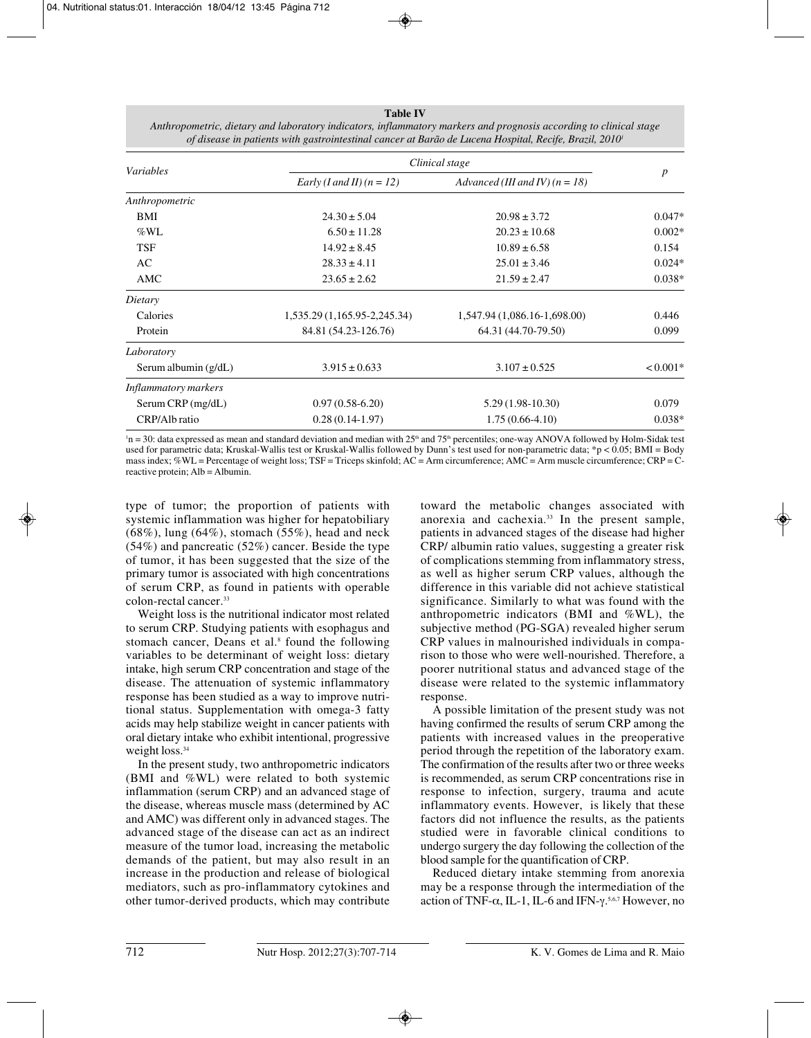### **Table IV**

| <i>Variables</i>     | Clinical stage               |                                  |                  |
|----------------------|------------------------------|----------------------------------|------------------|
|                      | Early (I and II) $(n = 12)$  | Advanced (III and IV) $(n = 18)$ | $\boldsymbol{p}$ |
| Anthropometric       |                              |                                  |                  |
| <b>BMI</b>           | $24.30 \pm 5.04$             | $20.98 \pm 3.72$                 | $0.047*$         |
| $\%$ WL              | $6.50 \pm 11.28$             | $20.23 \pm 10.68$                | $0.002*$         |
| <b>TSF</b>           | $14.92 \pm 8.45$             | $10.89 \pm 6.58$                 | 0.154            |
| AC                   | $28.33 \pm 4.11$             | $25.01 \pm 3.46$                 | $0.024*$         |
| AMC                  | $23.65 \pm 2.62$             | $21.59 \pm 2.47$                 | $0.038*$         |
| Dietary              |                              |                                  |                  |
| Calories             | 1,535.29 (1,165.95-2,245.34) | 1,547.94 (1,086.16-1,698.00)     | 0.446            |
| Protein              | 84.81 (54.23-126.76)         | 64.31 (44.70-79.50)              | 0.099            |
| Laboratory           |                              |                                  |                  |
| Serum albumin (g/dL) | $3.915 \pm 0.633$            | $3.107 \pm 0.525$                | $< 0.001*$       |
| Inflammatory markers |                              |                                  |                  |
| Serum $CRP$ (mg/dL)  | $0.97(0.58-6.20)$            | $5.29(1.98-10.30)$               | 0.079            |
| CRP/Alb ratio        | $0.28(0.14-1.97)$            | $1.75(0.66-4.10)$                | $0.038*$         |

*Anthropometric, dietary and laboratory indicators, inflammatory markers and prognosis according to clinical stage of disease in patients with gastrointestinal cancer at Barão de Lucena Hospital, Recife, Brazil, 20101*

 $n = 30$ : data expressed as mean and standard deviation and median with 25<sup>th</sup> and 75<sup>th</sup> percentiles; one-way ANOVA followed by Holm-Sidak test used for parametric data; Kruskal-Wallis test or Kruskal-Wallis followed by Dunn's test used for non-parametric data; \*p < 0.05; BMI = Body mass index;  $%WL =$  Percentage of weight loss; TSF = Triceps skinfold; AC = Arm circumference; AMC = Arm muscle circumference; CRP = Creactive protein; Alb = Albumin.

type of tumor; the proportion of patients with systemic inflammation was higher for hepatobiliary  $(68\%)$ , lung  $(64\%)$ , stomach  $(55\%)$ , head and neck (54%) and pancreatic (52%) cancer. Beside the type of tumor, it has been suggested that the size of the primary tumor is associated with high concentrations of serum CRP, as found in patients with operable colon-rectal cancer.33

Weight loss is the nutritional indicator most related to serum CRP. Studying patients with esophagus and stomach cancer, Deans et al.<sup>8</sup> found the following variables to be determinant of weight loss: dietary intake, high serum CRP concentration and stage of the disease. The attenuation of systemic inflammatory response has been studied as a way to improve nutritional status. Supplementation with omega-3 fatty acids may help stabilize weight in cancer patients with oral dietary intake who exhibit intentional, progressive weight loss.<sup>34</sup>

In the present study, two anthropometric indicators (BMI and %WL) were related to both systemic inflammation (serum CRP) and an advanced stage of the disease, whereas muscle mass (determined by AC and AMC) was different only in advanced stages. The advanced stage of the disease can act as an indirect measure of the tumor load, increasing the metabolic demands of the patient, but may also result in an increase in the production and release of biological mediators, such as pro-inflammatory cytokines and other tumor-derived products, which may contribute

toward the metabolic changes associated with anorexia and cachexia.33 In the present sample, patients in advanced stages of the disease had higher CRP/ albumin ratio values, suggesting a greater risk of complications stemming from inflammatory stress, as well as higher serum CRP values, although the difference in this variable did not achieve statistical significance. Similarly to what was found with the anthropometric indicators (BMI and %WL), the subjective method (PG-SGA) revealed higher serum CRP values in malnourished individuals in comparison to those who were well-nourished. Therefore, a poorer nutritional status and advanced stage of the disease were related to the systemic inflammatory response.

A possible limitation of the present study was not having confirmed the results of serum CRP among the patients with increased values in the preoperative period through the repetition of the laboratory exam. The confirmation of the results after two or three weeks is recommended, as serum CRP concentrations rise in response to infection, surgery, trauma and acute inflammatory events. However, is likely that these factors did not influence the results, as the patients studied were in favorable clinical conditions to undergo surgery the day following the collection of the blood sample for the quantification of CRP.

Reduced dietary intake stemming from anorexia may be a response through the intermediation of the action of TNF- $\alpha$ , IL-1, IL-6 and IFN- $\gamma$ .<sup>5,6,7</sup> However, no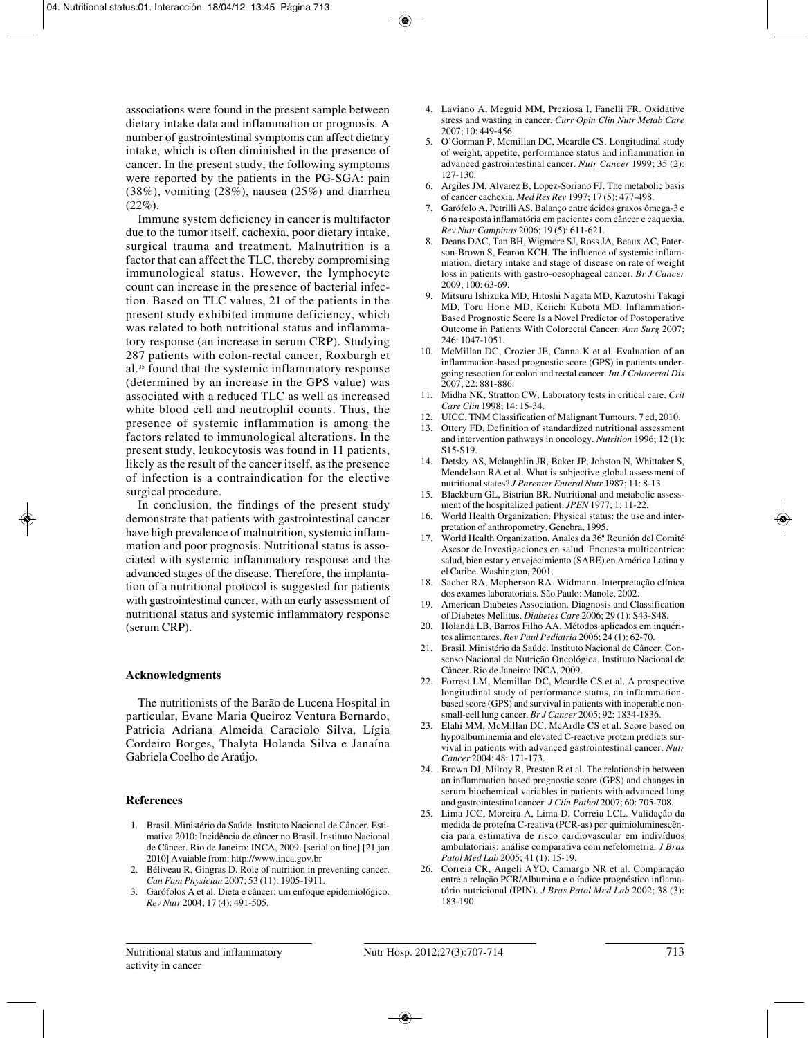associations were found in the present sample between dietary intake data and inflammation or prognosis. A number of gastrointestinal symptoms can affect dietary intake, which is often diminished in the presence of cancer. In the present study, the following symptoms were reported by the patients in the PG-SGA: pain  $(38\%)$ , vomiting  $(28\%)$ , nausea  $(25\%)$  and diarrhea  $(22\%)$ .

Immune system deficiency in cancer is multifactor due to the tumor itself, cachexia, poor dietary intake, surgical trauma and treatment. Malnutrition is a factor that can affect the TLC, thereby compromising immunological status. However, the lymphocyte count can increase in the presence of bacterial infection. Based on TLC values, 21 of the patients in the present study exhibited immune deficiency, which was related to both nutritional status and inflammatory response (an increase in serum CRP). Studying 287 patients with colon-rectal cancer, Roxburgh et al.35 found that the systemic inflammatory response (determined by an increase in the GPS value) was associated with a reduced TLC as well as increased white blood cell and neutrophil counts. Thus, the presence of systemic inflammation is among the factors related to immunological alterations. In the present study, leukocytosis was found in 11 patients, likely as the result of the cancer itself, as the presence of infection is a contraindication for the elective surgical procedure.

In conclusion, the findings of the present study demonstrate that patients with gastrointestinal cancer have high prevalence of malnutrition, systemic inflammation and poor prognosis. Nutritional status is associated with systemic inflammatory response and the advanced stages of the disease. Therefore, the implantation of a nutritional protocol is suggested for patients with gastrointestinal cancer, with an early assessment of nutritional status and systemic inflammatory response (serum CRP).

#### **Acknowledgments**

The nutritionists of the Barão de Lucena Hospital in particular, Evane Maria Queiroz Ventura Bernardo, Patricia Adriana Almeida Caraciolo Silva, Lígia Cordeiro Borges, Thalyta Holanda Silva e Janaína Gabriela Coelho de Araújo.

### **References**

- 1. Brasil. Ministério da Saúde. Instituto Nacional de Câncer. Estimativa 2010: Incidência de câncer no Brasil. Instituto Nacional de Câncer. Rio de Janeiro: INCA, 2009. [serial on line] [21 jan 2010] Avaiable from: http://www.inca.gov.br
- 2. Béliveau R, Gingras D. Role of nutrition in preventing cancer. *Can Fam Physician* 2007; 53 (11): 1905-1911.
- 3. Garófolos A et al. Dieta e câncer: um enfoque epidemiológico. *Rev Nutr* 2004; 17 (4): 491-505.
- 4. Laviano A, Meguid MM, Preziosa I, Fanelli FR. Oxidative stress and wasting in cancer. *Curr Opin Clin Nutr Metab Care* 2007; 10: 449-456.
- 5. O'Gorman P, Mcmillan DC, Mcardle CS. Longitudinal study of weight, appetite, performance status and inflammation in advanced gastrointestinal cancer. *Nutr Cancer* 1999; 35 (2): 127-130.
- 6. Argiles JM, Alvarez B, Lopez-Soriano FJ. The metabolic basis of cancer cachexia. *Med Res Rev* 1997; 17 (5): 477-498.
- 7. Garófolo A, Petrilli AS. Balanço entre ácidos graxos ômega-3 e 6 na resposta inflamatória em pacientes com câncer e caquexia. *Rev Nutr Campinas* 2006; 19 (5): 611-621.
- 8. Deans DAC, Tan BH, Wigmore SJ, Ross JA, Beaux AC, Paterson-Brown S, Fearon KCH. The influence of systemic inflammation, dietary intake and stage of disease on rate of weight loss in patients with gastro-oesophageal cancer. *Br J Cancer* 2009; 100: 63-69.
- 9. Mitsuru Ishizuka MD, Hitoshi Nagata MD, Kazutoshi Takagi MD, Toru Horie MD, Keiichi Kubota MD. Inflammation-Based Prognostic Score Is a Novel Predictor of Postoperative Outcome in Patients With Colorectal Cancer. *Ann Surg* 2007; 246: 1047-1051.
- 10. McMillan DC, Crozier JE, Canna K et al. Evaluation of an inflammation-based prognostic score (GPS) in patients undergoing resection for colon and rectal cancer. *Int J Colorectal Dis* 2007; 22: 881-886.
- 11. Midha NK, Stratton CW. Laboratory tests in critical care. *Crit Care Clin* 1998; 14: 15-34.
- 12. UICC. TNM Classification of Malignant Tumours. 7 ed, 2010.
- 13. Ottery FD. Definition of standardized nutritional assessment and intervention pathways in oncology. *Nutrition* 1996; 12 (1): S15-S19.
- 14. Detsky AS, Mclaughlin JR, Baker JP, Johston N, Whittaker S, Mendelson RA et al. What is subjective global assessment of nutritional states? *J Parenter Enteral Nutr* 1987; 11: 8-13.
- 15. Blackburn GL, Bistrian BR. Nutritional and metabolic assessment of the hospitalized patient. *JPEN* 1977; 1: 11-22.
- 16. World Health Organization. Physical status: the use and interpretation of anthropometry. Genebra, 1995.
- 17. World Health Organization. Anales da 36ª Reunión del Comité Asesor de Investigaciones en salud. Encuesta multicentrica: salud, bien estar y envejecimiento (SABE) en América Latina y el Caribe. Washington, 2001.
- 18. Sacher RA, Mcpherson RA. Widmann. Interpretação clínica dos exames laboratoriais. São Paulo: Manole, 2002.
- 19. American Diabetes Association. Diagnosis and Classification of Diabetes Mellitus. *Diabetes Care* 2006; 29 (1): S43-S48.
- 20. Holanda LB, Barros Filho AA. Métodos aplicados em inquéritos alimentares. *Rev Paul Pediatria* 2006; 24 (1): 62-70.
- 21. Brasil. Ministério da Saúde. Instituto Nacional de Câncer. Consenso Nacional de Nutrição Oncológica. Instituto Nacional de Câncer. Rio de Janeiro: INCA, 2009.
- 22. Forrest LM, Mcmillan DC, Mcardle CS et al. A prospective longitudinal study of performance status, an inflammationbased score (GPS) and survival in patients with inoperable nonsmall-cell lung cancer. *Br J Cancer* 2005; 92: 1834-1836.
- 23. Elahi MM, McMillan DC, McArdle CS et al. Score based on hypoalbuminemia and elevated C-reactive protein predicts survival in patients with advanced gastrointestinal cancer. *Nutr Cancer* 2004; 48: 171-173.
- 24. Brown DJ, Milroy R, Preston R et al. The relationship between an inflammation based prognostic score (GPS) and changes in serum biochemical variables in patients with advanced lung and gastrointestinal cancer. *J Clin Pathol* 2007; 60: 705-708.
- 25. Lima JCC, Moreira A, Lima D, Correia LCL. Validação da medida de proteína C-reativa (PCR-as) por quimioluminescência para estimativa de risco cardiovascular em indivíduos ambulatoriais: análise comparativa com nefelometria. *J Bras Patol Med Lab* 2005; 41 (1): 15-19.
- 26. Correia CR, Angeli AYO, Camargo NR et al. Comparação entre a relação PCR/Albumina e o índice prognóstico inflamatório nutricional (IPIN). *J Bras Patol Med Lab* 2002; 38 (3): 183-190.